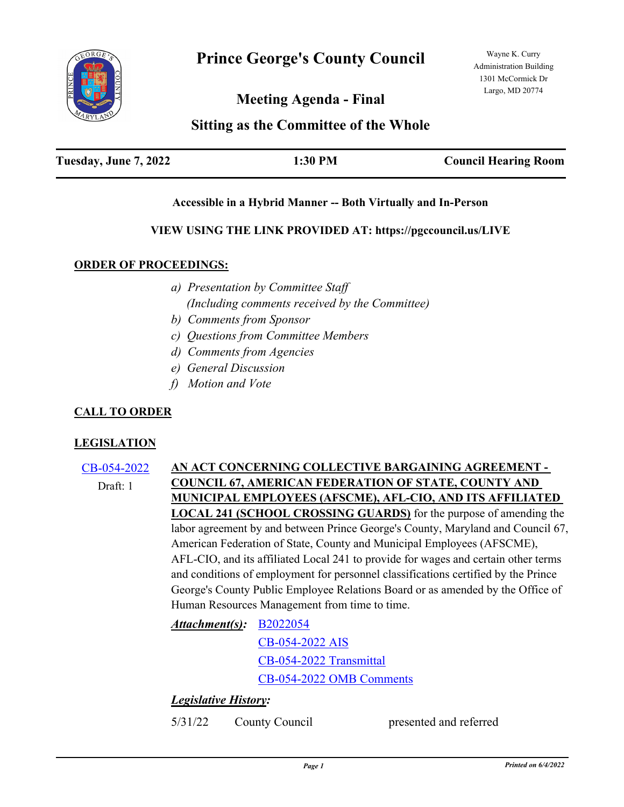

**Meeting Agenda - Final**

# **Sitting as the Committee of the Whole**

| Tuesday, June 7, 2022 | 1:30 PM | <b>Council Hearing Room</b> |
|-----------------------|---------|-----------------------------|
|                       |         |                             |

## **Accessible in a Hybrid Manner -- Both Virtually and In-Person**

## **VIEW USING THE LINK PROVIDED AT: https://pgccouncil.us/LIVE**

## **ORDER OF PROCEEDINGS:**

- *a) Presentation by Committee Staff (Including comments received by the Committee)*
- *b) Comments from Sponsor*
- *c) Questions from Committee Members*
- *d) Comments from Agencies*
- *e) General Discussion*
- *f) Motion and Vote*

# **CALL TO ORDER**

## **LEGISLATION**

[CB-054-2022](http://princegeorgescountymd.legistar.com/gateway.aspx?m=l&id=/matter.aspx?key=15009) **AN ACT CONCERNING COLLECTIVE BARGAINING AGREEMENT - COUNCIL 67, AMERICAN FEDERATION OF STATE, COUNTY AND MUNICIPAL EMPLOYEES (AFSCME), AFL-CIO, AND ITS AFFILIATED LOCAL 241 (SCHOOL CROSSING GUARDS)** for the purpose of amending the labor agreement by and between Prince George's County, Maryland and Council 67, American Federation of State, County and Municipal Employees (AFSCME), AFL-CIO, and its affiliated Local 241 to provide for wages and certain other terms and conditions of employment for personnel classifications certified by the Prince George's County Public Employee Relations Board or as amended by the Office of Human Resources Management from time to time. Draft: 1

[B2022054](http://princegeorgescountymd.legistar.com/gateway.aspx?M=F&ID=b36f46e7-12e3-47b2-9d61-8b4469652775.docx) *Attachment(s):*

[CB-054-2022 AIS](http://princegeorgescountymd.legistar.com/gateway.aspx?M=F&ID=06702d1d-d893-4570-b96e-f1a815ee1735.pdf)

[CB-054-2022 Transmittal](http://princegeorgescountymd.legistar.com/gateway.aspx?M=F&ID=2ee04ad0-bb10-4fa4-b16c-273240d29173.pdf)

[CB-054-2022 OMB Comments](http://princegeorgescountymd.legistar.com/gateway.aspx?M=F&ID=436b33f7-2474-4f9c-9ebd-7a3a78ef0d23.docx)

# *Legislative History:*

5/31/22 County Council presented and referred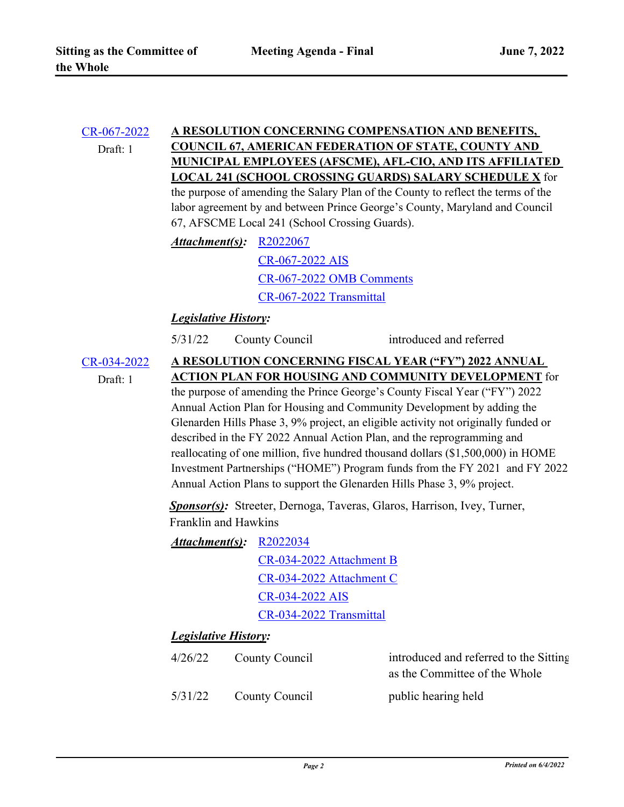#### [CR-067-2022](http://princegeorgescountymd.legistar.com/gateway.aspx?m=l&id=/matter.aspx?key=15010) **A RESOLUTION CONCERNING COMPENSATION AND BENEFITS, COUNCIL 67, AMERICAN FEDERATION OF STATE, COUNTY AND MUNICIPAL EMPLOYEES (AFSCME), AFL-CIO, AND ITS AFFILIATED LOCAL 241 (SCHOOL CROSSING GUARDS) SALARY SCHEDULE X** for the purpose of amending the Salary Plan of the County to reflect the terms of the Draft: 1

labor agreement by and between Prince George's County, Maryland and Council 67, AFSCME Local 241 (School Crossing Guards).

*Attachment(s):* [R2022067](http://princegeorgescountymd.legistar.com/gateway.aspx?M=F&ID=1f49d521-5d18-4f51-9984-18922d3c8ff8.docx) [CR-067-2022 AIS](http://princegeorgescountymd.legistar.com/gateway.aspx?M=F&ID=1a406013-45c3-4808-ad94-2760b59c6c1d.pdf) [CR-067-2022 OMB Comments](http://princegeorgescountymd.legistar.com/gateway.aspx?M=F&ID=7aa4410c-b906-48f2-98c6-82095244008a.docx) [CR-067-2022 Transmittal](http://princegeorgescountymd.legistar.com/gateway.aspx?M=F&ID=b6123322-9cee-4b8f-8257-e049ff8cec7c.pdf)

# *Legislative History:*

5/31/22 County Council introduced and referred

[CR-034-2022](http://princegeorgescountymd.legistar.com/gateway.aspx?m=l&id=/matter.aspx?key=14880) **A RESOLUTION CONCERNING FISCAL YEAR ("FY") 2022 ANNUAL ACTION PLAN FOR HOUSING AND COMMUNITY DEVELOPMENT** for the purpose of amending the Prince George's County Fiscal Year ("FY") 2022 Annual Action Plan for Housing and Community Development by adding the Glenarden Hills Phase 3, 9% project, an eligible activity not originally funded or described in the FY 2022 Annual Action Plan, and the reprogramming and reallocating of one million, five hundred thousand dollars (\$1,500,000) in HOME Investment Partnerships ("HOME") Program funds from the FY 2021 and FY 2022 Annual Action Plans to support the Glenarden Hills Phase 3, 9% project. Draft: 1 *Sponsor(s):* Streeter, Dernoga, Taveras, Glaros, Harrison, Ivey, Turner,

Franklin and Hawkins

[R2022034](http://princegeorgescountymd.legistar.com/gateway.aspx?M=F&ID=3721d08b-74ba-43f9-a8a0-6d9869ad2f46.docx) *Attachment(s):*

> [CR-034-2022 Attachment B](http://princegeorgescountymd.legistar.com/gateway.aspx?M=F&ID=07150b59-93d1-43dc-ad3c-e37f94b3b2d1.pdf) [CR-034-2022 Attachment C](http://princegeorgescountymd.legistar.com/gateway.aspx?M=F&ID=5dc2d635-0513-46cc-ac6b-560ab7b1518f.pdf) [CR-034-2022 AIS](http://princegeorgescountymd.legistar.com/gateway.aspx?M=F&ID=99364b14-f143-4bc1-b029-7cf874b219b3.pdf) [CR-034-2022 Transmittal](http://princegeorgescountymd.legistar.com/gateway.aspx?M=F&ID=e1e77dad-0e43-4096-9d70-79fc7bcc5092.pdf)

## *Legislative History:*

| 4/26/22 | County Council | introduced and referred to the Sitting |  |
|---------|----------------|----------------------------------------|--|
|         |                | as the Committee of the Whole          |  |
| 5/31/22 | County Council | public hearing held                    |  |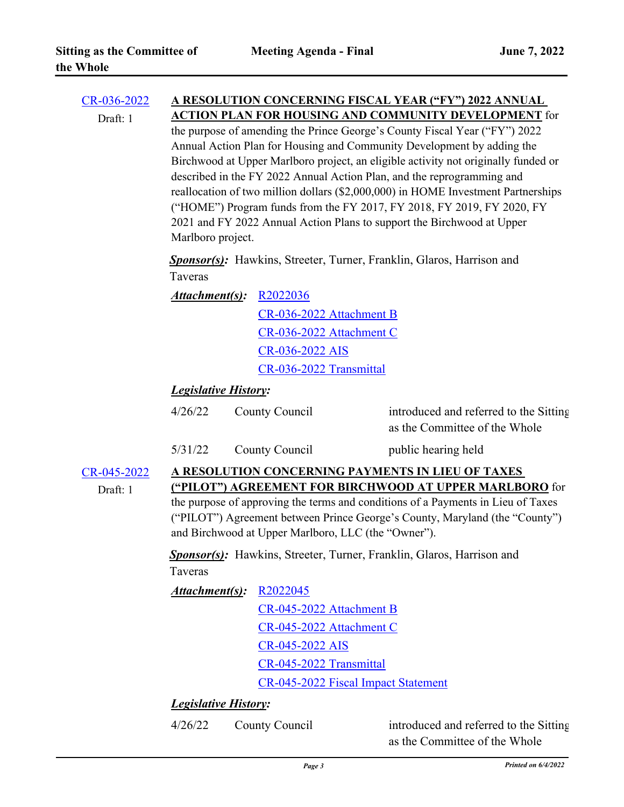| $CR - 036 - 2022$<br>Draft: 1 | A RESOLUTION CONCERNING FISCAL YEAR ("FY") 2022 ANNUAL<br><b>ACTION PLAN FOR HOUSING AND COMMUNITY DEVELOPMENT</b> for<br>the purpose of amending the Prince George's County Fiscal Year ("FY") 2022<br>Annual Action Plan for Housing and Community Development by adding the<br>Birchwood at Upper Marlboro project, an eligible activity not originally funded or<br>described in the FY 2022 Annual Action Plan, and the reprogramming and<br>reallocation of two million dollars (\$2,000,000) in HOME Investment Partnerships<br>("HOME") Program funds from the FY 2017, FY 2018, FY 2019, FY 2020, FY<br>2021 and FY 2022 Annual Action Plans to support the Birchwood at Upper<br>Marlboro project. |                                                                                                                |                                                                         |  |  |
|-------------------------------|--------------------------------------------------------------------------------------------------------------------------------------------------------------------------------------------------------------------------------------------------------------------------------------------------------------------------------------------------------------------------------------------------------------------------------------------------------------------------------------------------------------------------------------------------------------------------------------------------------------------------------------------------------------------------------------------------------------|----------------------------------------------------------------------------------------------------------------|-------------------------------------------------------------------------|--|--|
|                               | <b>Sponsor(s):</b> Hawkins, Streeter, Turner, Franklin, Glaros, Harrison and<br>Taveras                                                                                                                                                                                                                                                                                                                                                                                                                                                                                                                                                                                                                      |                                                                                                                |                                                                         |  |  |
|                               | Attachment(s):                                                                                                                                                                                                                                                                                                                                                                                                                                                                                                                                                                                                                                                                                               | R2022036<br>CR-036-2022 Attachment B<br>CR-036-2022 Attachment C<br>CR-036-2022 AIS<br>CR-036-2022 Transmittal |                                                                         |  |  |
|                               | <b>Legislative History:</b>                                                                                                                                                                                                                                                                                                                                                                                                                                                                                                                                                                                                                                                                                  |                                                                                                                |                                                                         |  |  |
|                               | 4/26/22                                                                                                                                                                                                                                                                                                                                                                                                                                                                                                                                                                                                                                                                                                      | County Council                                                                                                 | introduced and referred to the Sitting<br>as the Committee of the Whole |  |  |
|                               | 5/31/22                                                                                                                                                                                                                                                                                                                                                                                                                                                                                                                                                                                                                                                                                                      | County Council                                                                                                 | public hearing held                                                     |  |  |
| CR-045-2022<br>Draft: 1       | A RESOLUTION CONCERNING PAYMENTS IN LIEU OF TAXES<br>("PILOT") AGREEMENT FOR BIRCHWOOD AT UPPER MARLBORO for<br>the purpose of approving the terms and conditions of a Payments in Lieu of Taxes<br>("PILOT") Agreement between Prince George's County, Maryland (the "County")<br>and Birchwood at Upper Marlboro, LLC (the "Owner").<br><b>Sponsor(s):</b> Hawkins, Streeter, Turner, Franklin, Glaros, Harrison and<br>Taveras<br>Attachment(s):<br>R <sub>2022045</sub>                                                                                                                                                                                                                                  |                                                                                                                |                                                                         |  |  |
|                               |                                                                                                                                                                                                                                                                                                                                                                                                                                                                                                                                                                                                                                                                                                              |                                                                                                                |                                                                         |  |  |
|                               |                                                                                                                                                                                                                                                                                                                                                                                                                                                                                                                                                                                                                                                                                                              | CR-045-2022 Attachment B<br>CR-045-2022 Attachment C                                                           |                                                                         |  |  |
|                               |                                                                                                                                                                                                                                                                                                                                                                                                                                                                                                                                                                                                                                                                                                              |                                                                                                                |                                                                         |  |  |
|                               |                                                                                                                                                                                                                                                                                                                                                                                                                                                                                                                                                                                                                                                                                                              | CR-045-2022 AIS                                                                                                |                                                                         |  |  |
|                               |                                                                                                                                                                                                                                                                                                                                                                                                                                                                                                                                                                                                                                                                                                              | CR-045-2022 Transmittal                                                                                        |                                                                         |  |  |
|                               |                                                                                                                                                                                                                                                                                                                                                                                                                                                                                                                                                                                                                                                                                                              | CR-045-2022 Fiscal Impact Statement                                                                            |                                                                         |  |  |
|                               | <b>Legislative History:</b>                                                                                                                                                                                                                                                                                                                                                                                                                                                                                                                                                                                                                                                                                  |                                                                                                                |                                                                         |  |  |
|                               | 4/26/22                                                                                                                                                                                                                                                                                                                                                                                                                                                                                                                                                                                                                                                                                                      | County Council                                                                                                 | introduced and referred to the Sitting<br>as the Committee of the Whole |  |  |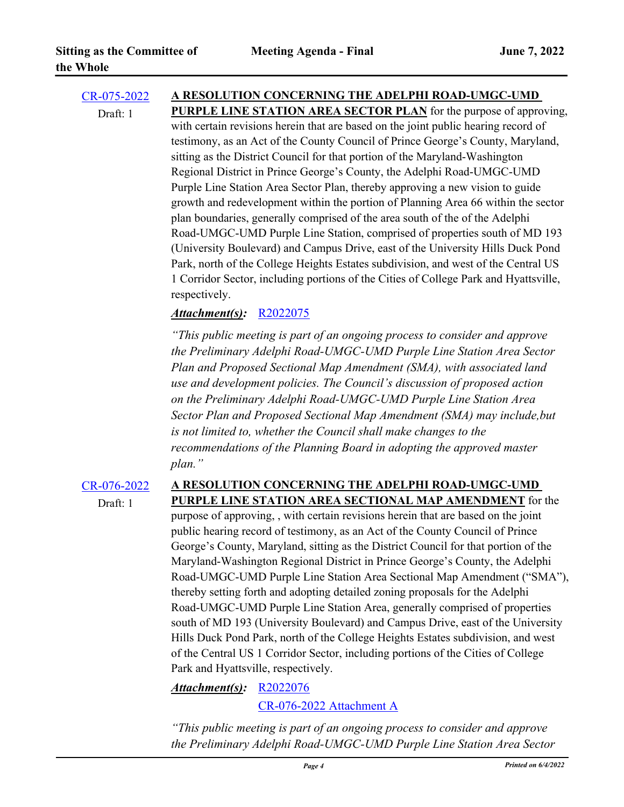# [CR-075-2022](http://princegeorgescountymd.legistar.com/gateway.aspx?m=l&id=/matter.aspx?key=15088) **A RESOLUTION CONCERNING THE ADELPHI ROAD-UMGC-UMD**  Draft: 1

**PURPLE LINE STATION AREA SECTOR PLAN** for the purpose of approving, with certain revisions herein that are based on the joint public hearing record of testimony, as an Act of the County Council of Prince George's County, Maryland, sitting as the District Council for that portion of the Maryland-Washington Regional District in Prince George's County, the Adelphi Road-UMGC-UMD Purple Line Station Area Sector Plan, thereby approving a new vision to guide growth and redevelopment within the portion of Planning Area 66 within the sector plan boundaries, generally comprised of the area south of the of the Adelphi Road-UMGC-UMD Purple Line Station, comprised of properties south of MD 193 (University Boulevard) and Campus Drive, east of the University Hills Duck Pond Park, north of the College Heights Estates subdivision, and west of the Central US 1 Corridor Sector, including portions of the Cities of College Park and Hyattsville, respectively.

# *Attachment(s):* [R2022075](http://princegeorgescountymd.legistar.com/gateway.aspx?M=F&ID=56d0511b-b954-493c-8b90-96e53ac6e6e7.docx)

*"This public meeting is part of an ongoing process to consider and approve the Preliminary Adelphi Road-UMGC-UMD Purple Line Station Area Sector Plan and Proposed Sectional Map Amendment (SMA), with associated land use and development policies. The Council's discussion of proposed action on the Preliminary Adelphi Road-UMGC-UMD Purple Line Station Area Sector Plan and Proposed Sectional Map Amendment (SMA) may include,but is not limited to, whether the Council shall make changes to the recommendations of the Planning Board in adopting the approved master plan."*

Draft: 1

### [CR-076-2022](http://princegeorgescountymd.legistar.com/gateway.aspx?m=l&id=/matter.aspx?key=15089) **A RESOLUTION CONCERNING THE ADELPHI ROAD-UMGC-UMD PURPLE LINE STATION AREA SECTIONAL MAP AMENDMENT** for the

purpose of approving, , with certain revisions herein that are based on the joint public hearing record of testimony, as an Act of the County Council of Prince George's County, Maryland, sitting as the District Council for that portion of the Maryland-Washington Regional District in Prince George's County, the Adelphi Road-UMGC-UMD Purple Line Station Area Sectional Map Amendment ("SMA"), thereby setting forth and adopting detailed zoning proposals for the Adelphi Road-UMGC-UMD Purple Line Station Area, generally comprised of properties south of MD 193 (University Boulevard) and Campus Drive, east of the University Hills Duck Pond Park, north of the College Heights Estates subdivision, and west of the Central US 1 Corridor Sector, including portions of the Cities of College Park and Hyattsville, respectively.

*Attachment(s):* [R2022076](http://princegeorgescountymd.legistar.com/gateway.aspx?M=F&ID=d425afc2-edf1-4d24-b616-80194d689de9.docx)

[CR-076-2022 Attachment A](http://princegeorgescountymd.legistar.com/gateway.aspx?M=F&ID=542857fb-5a4a-424d-bf8a-f152a27cfa03.docx)

*"This public meeting is part of an ongoing process to consider and approve the Preliminary Adelphi Road-UMGC-UMD Purple Line Station Area Sector*